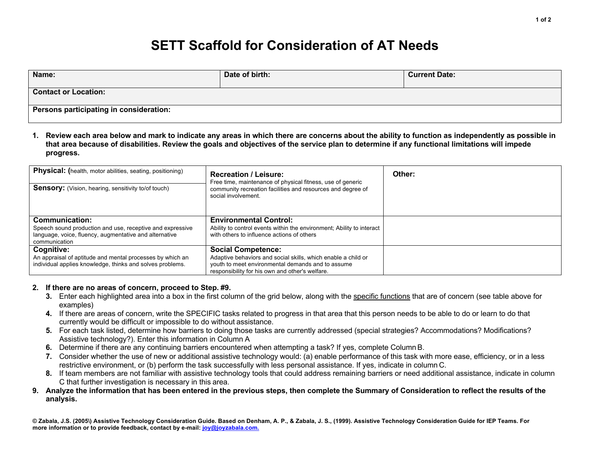## **SETT Scaffold for Consideration of AT Needs**

| Name:                                   | Date of birth: | <b>Current Date:</b> |  |  |
|-----------------------------------------|----------------|----------------------|--|--|
| <b>Contact or Location:</b>             |                |                      |  |  |
| Persons participating in consideration: |                |                      |  |  |

**1. Review each area below and mark to indicate any areas in which there are concerns about the ability to function as independently as possible in that area because of disabilities. Review the goals and objectives of the service plan to determine if any functional limitations will impede progress.**

| <b>Physical:</b> (health, motor abilities, seating, positioning)<br><b>Sensory:</b> (Vision, hearing, sensitivity to/of touch)                         | <b>Recreation / Leisure:</b><br>Free time, maintenance of physical fitness, use of generic<br>community recreation facilities and resources and degree of<br>social involvement.                   | Other: |
|--------------------------------------------------------------------------------------------------------------------------------------------------------|----------------------------------------------------------------------------------------------------------------------------------------------------------------------------------------------------|--------|
| Communication:<br>Speech sound production and use, receptive and expressive<br>language, voice, fluency, augmentative and alternative<br>communication | <b>Environmental Control:</b><br>Ability to control events within the environment; Ability to interact<br>with others to influence actions of others                                               |        |
| Cognitive:<br>An appraisal of aptitude and mental processes by which an<br>individual applies knowledge, thinks and solves problems.                   | <b>Social Competence:</b><br>Adaptive behaviors and social skills, which enable a child or<br>youth to meet environmental demands and to assume<br>responsibility for his own and other's welfare. |        |

## **2. If there are no areas of concern, proceed to Step. #9.**

- **3.** Enter each highlighted area into a box in the first column of the grid below, along with the specific functions that are of concern (see table above for examples)
- **4.** If there are areas of concern, write the SPECIFIC tasks related to progress in that area that this person needs to be able to do or learn to do that currently would be difficult or impossible to do without assistance.
- **5.** For each task listed, determine how barriers to doing those tasks are currently addressed (special strategies? Accommodations? Modifications? Assistive technology?). Enter this information in Column A
- **6.** Determine if there are any continuing barriers encountered when attempting a task? If yes, complete ColumnB.
- **7.** Consider whether the use of new or additional assistive technology would: (a) enable performance of this task with more ease, efficiency, or in a less restrictive environment, or (b) perform the task successfully with less personal assistance. If yes, indicate in column C.
- **8.** If team members are not familiar with assistive technology tools that could address remaining barriers or need additional assistance, indicate in column C that further investigation is necessary in this area.
- **9. Analyze the information that has been entered in the previous steps, then complete the Summary of Consideration to reflect the results of the analysis.**